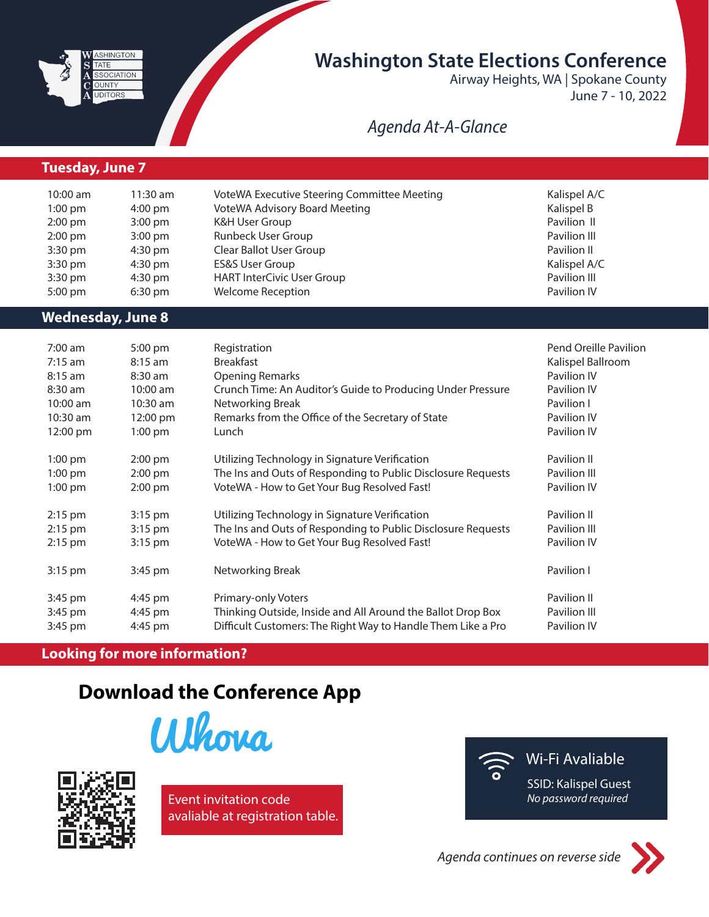

## **Washington State Elections Conference**

Airway Heights, WA | Spokane County June 7 - 10, 2022

### *Agenda At-A-Glance*

#### **Thursday, June 9 Tuesday, June 7**

| $10:00$ am        | $11:30$ am        | VoteWA Executive Steering Committee Meeting | Kalispel A/C |
|-------------------|-------------------|---------------------------------------------|--------------|
| $1:00$ pm         | $4:00 \text{ pm}$ | <b>VoteWA Advisory Board Meeting</b>        | Kalispel B   |
| $2:00 \text{ pm}$ | $3:00 \text{ pm}$ | K&H User Group                              | Pavilion II  |
| $2:00 \text{ pm}$ | $3:00 \text{ pm}$ | Runbeck User Group                          | Pavilion III |
| $3:30$ pm         | $4:30 \text{ pm}$ | Clear Ballot User Group                     | Pavilion II  |
| $3:30$ pm         | $4:30 \text{ pm}$ | <b>ES&amp;S User Group</b>                  | Kalispel A/C |
| $3:30$ pm         | $4:30 \text{ pm}$ | <b>HART InterCivic User Group</b>           | Pavilion III |
| $5:00 \text{ pm}$ | $6:30 \text{ pm}$ | <b>Welcome Reception</b>                    | Pavilion IV  |

#### **Wednesday, June 8**

| $7:00$ am  | 5:00 pm           | Registration                                                 | Pend Oreille Pavilion |
|------------|-------------------|--------------------------------------------------------------|-----------------------|
| $7:15$ am  | $8:15$ am         | <b>Breakfast</b>                                             | Kalispel Ballroom     |
| $8:15$ am  | $8:30$ am         | <b>Opening Remarks</b>                                       | Pavilion IV           |
| $8:30$ am  | 10:00 am          | Crunch Time: An Auditor's Guide to Producing Under Pressure  | Pavilion IV           |
| 10:00 am   | 10:30 am          | Networking Break                                             | Pavilion I            |
| $10:30$ am | 12:00 pm          | Remarks from the Office of the Secretary of State            | Pavilion IV           |
| 12:00 pm   | $1:00$ pm         | Lunch                                                        | Pavilion IV           |
| $1:00$ pm  | $2:00$ pm         | Utilizing Technology in Signature Verification               | Pavilion II           |
| $1:00$ pm  | $2:00$ pm         | The Ins and Outs of Responding to Public Disclosure Requests | Pavilion III          |
| $1:00$ pm  | $2:00 \text{ pm}$ | VoteWA - How to Get Your Bug Resolved Fast!                  | Pavilion IV           |
| $2:15$ pm  | $3:15$ pm         | Utilizing Technology in Signature Verification               | Pavilion II           |
| $2:15$ pm  | $3:15$ pm         | The Ins and Outs of Responding to Public Disclosure Requests | Pavilion III          |
| $2:15$ pm  | $3:15$ pm         | VoteWA - How to Get Your Bug Resolved Fast!                  | Pavilion IV           |
| 3:15 pm    | 3:45 pm           | Networking Break                                             | Pavilion I            |
| 3:45 pm    | 4:45 pm           | Primary-only Voters                                          | Pavilion II           |
| 3:45 pm    | 4:45 pm           | Thinking Outside, Inside and All Around the Ballot Drop Box  | Pavilion III          |
| 3:45 pm    | 4:45 pm           | Difficult Customers: The Right Way to Handle Them Like a Pro | Pavilion IV           |

#### **Looking for more information?**

# **Download the Conference App**









*Agenda continues on reverse side*